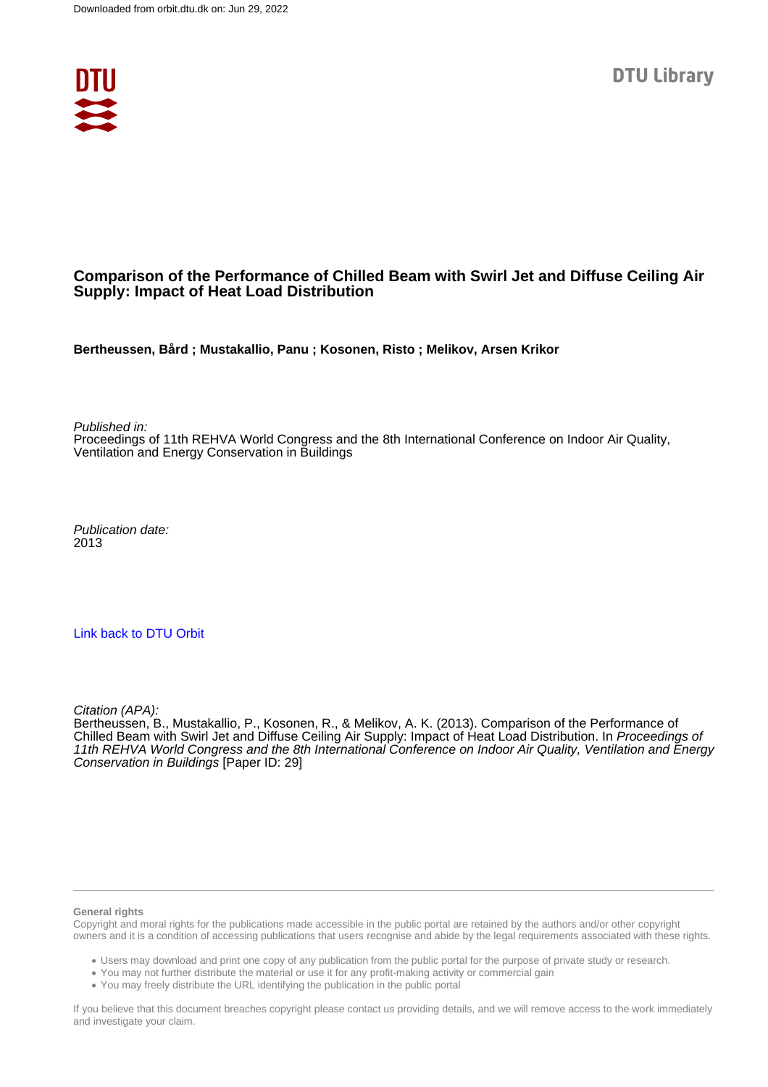

# **Comparison of the Performance of Chilled Beam with Swirl Jet and Diffuse Ceiling Air Supply: Impact of Heat Load Distribution**

**Bertheussen, Bård ; Mustakallio, Panu ; Kosonen, Risto ; Melikov, Arsen Krikor**

Published in:

Proceedings of 11th REHVA World Congress and the 8th International Conference on Indoor Air Quality, Ventilation and Energy Conservation in Buildings

Publication date: 2013

[Link back to DTU Orbit](https://orbit.dtu.dk/en/publications/2e580080-ebdb-47d9-81f1-d8bb38e619d4)

Citation (APA):

Bertheussen, B., Mustakallio, P., Kosonen, R., & Melikov, A. K. (2013). Comparison of the Performance of Chilled Beam with Swirl Jet and Diffuse Ceiling Air Supply: Impact of Heat Load Distribution. In Proceedings of 11th REHVA World Congress and the 8th International Conference on Indoor Air Quality, Ventilation and Energy Conservation in Buildings [Paper ID: 29]

#### **General rights**

Copyright and moral rights for the publications made accessible in the public portal are retained by the authors and/or other copyright owners and it is a condition of accessing publications that users recognise and abide by the legal requirements associated with these rights.

Users may download and print one copy of any publication from the public portal for the purpose of private study or research.

- You may not further distribute the material or use it for any profit-making activity or commercial gain
- You may freely distribute the URL identifying the publication in the public portal

If you believe that this document breaches copyright please contact us providing details, and we will remove access to the work immediately and investigate your claim.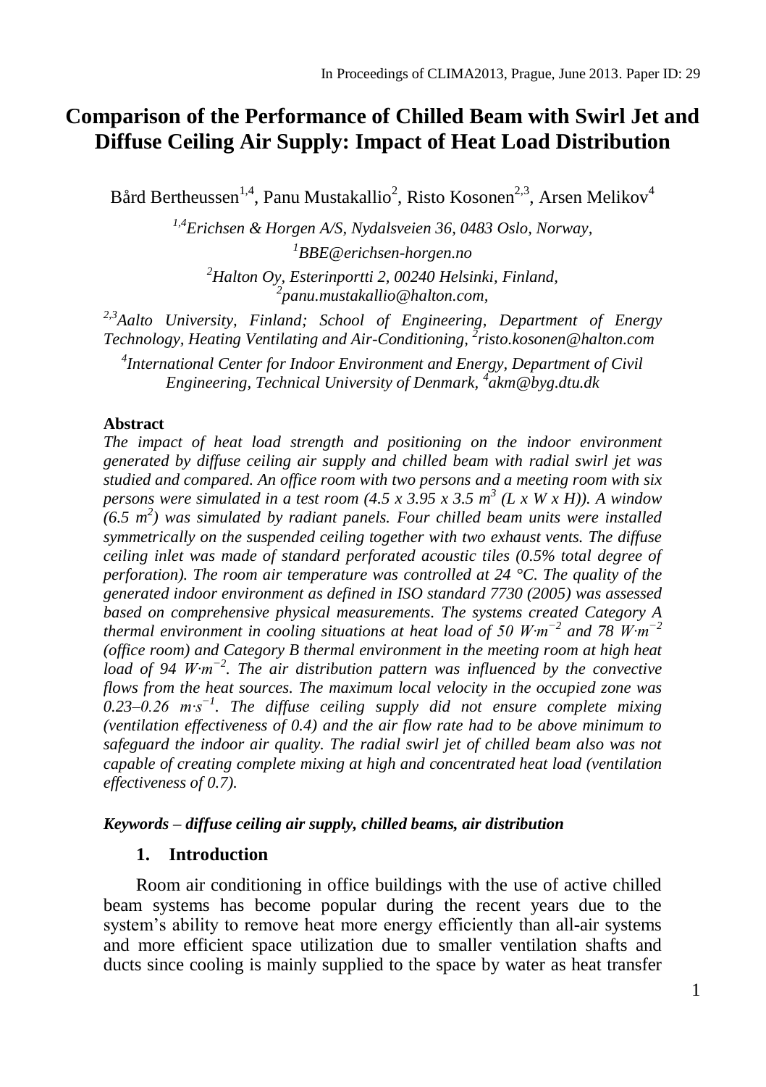# **Comparison of the Performance of Chilled Beam with Swirl Jet and Diffuse Ceiling Air Supply: Impact of Heat Load Distribution**

Bård Bertheussen $^{1,4}$ , Panu Mustakallio<sup>2</sup>, Risto Kosonen<sup>2,3</sup>, Arsen Melikov<sup>4</sup>

*1,4Erichsen & Horgen A/S, Nydalsveien 36, 0483 Oslo, Norway, BBE@erichsen-horgen.no Halton Oy, Esterinportti 2, 00240 Helsinki, Finland, panu.mustakallio@halton.com,* 

*2,3Aalto University, Finland; School of Engineering, Department of Energy Technology, Heating Ventilating and Air-Conditioning, 2 risto.kosonen@halton.com*

*4 International Center for Indoor Environment and Energy, Department of Civil Engineering, Technical University of Denmark, <sup>4</sup> akm@byg.dtu.dk*

#### **Abstract**

*The impact of heat load strength and positioning on the indoor environment generated by diffuse ceiling air supply and chilled beam with radial swirl jet was studied and compared. An office room with two persons and a meeting room with six persons were simulated in a test room (4.5 x 3.95 x 3.5 m<sup>3</sup> (L x W x H)). A window (6.5 m<sup>2</sup> ) was simulated by radiant panels. Four chilled beam units were installed symmetrically on the suspended ceiling together with two exhaust vents. The diffuse ceiling inlet was made of standard perforated acoustic tiles (0.5% total degree of perforation). The room air temperature was controlled at 24 °C. The quality of the generated indoor environment as defined in ISO standard 7730 (2005) was assessed based on comprehensive physical measurements. The systems created Category A thermal environment in cooling situations at heat load of 50 W∙m−2 and 78 W∙m−2 (office room) and Category B thermal environment in the meeting room at high heat load of 94 W∙m−2 . The air distribution pattern was influenced by the convective flows from the heat sources. The maximum local velocity in the occupied zone was 0.23–0.26 m∙s−1 . The diffuse ceiling supply did not ensure complete mixing (ventilation effectiveness of 0.4) and the air flow rate had to be above minimum to safeguard the indoor air quality. The radial swirl jet of chilled beam also was not capable of creating complete mixing at high and concentrated heat load (ventilation effectiveness of 0.7).* 

## *Keywords – diffuse ceiling air supply, chilled beams, air distribution*

### **1. Introduction**

Room air conditioning in office buildings with the use of active chilled beam systems has become popular during the recent years due to the system's ability to remove heat more energy efficiently than all-air systems and more efficient space utilization due to smaller ventilation shafts and ducts since cooling is mainly supplied to the space by water as heat transfer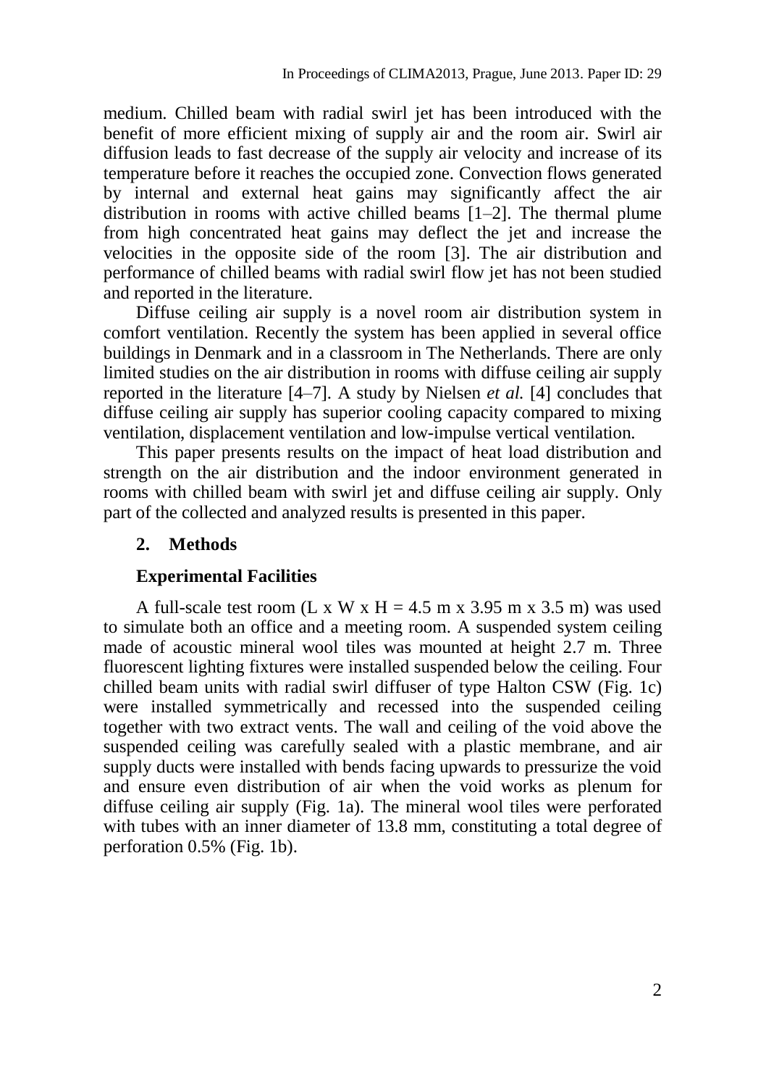medium. Chilled beam with radial swirl jet has been introduced with the benefit of more efficient mixing of supply air and the room air. Swirl air diffusion leads to fast decrease of the supply air velocity and increase of its temperature before it reaches the occupied zone. Convection flows generated by internal and external heat gains may significantly affect the air distribution in rooms with active chilled beams [1–2]. The thermal plume from high concentrated heat gains may deflect the jet and increase the velocities in the opposite side of the room [\[3\].](#page-10-0) The air distribution and performance of chilled beams with radial swirl flow jet has not been studied and reported in the literature.

Diffuse ceiling air supply is a novel room air distribution system in comfort ventilation. Recently the system has been applied in several office buildings in Denmark and in a classroom in The Netherlands. There are only limited studies on the air distribution in rooms with diffuse ceiling air supply reported in the literature [4–7]. A study by Nielsen *et al.* [\[4\]](#page-10-1) concludes that diffuse ceiling air supply has superior cooling capacity compared to mixing ventilation, displacement ventilation and low-impulse vertical ventilation.

This paper presents results on the impact of heat load distribution and strength on the air distribution and the indoor environment generated in rooms with chilled beam with swirl jet and diffuse ceiling air supply. Only part of the collected and analyzed results is presented in this paper.

## **2. Methods**

### **Experimental Facilities**

A full-scale test room (L x W x H = 4.5 m x 3.95 m x 3.5 m) was used to simulate both an office and a meeting room. A suspended system ceiling made of acoustic mineral wool tiles was mounted at height 2.7 m. Three fluorescent lighting fixtures were installed suspended below the ceiling. Four chilled beam units with radial swirl diffuser of type Halton CSW (Fig. 1c) were installed symmetrically and recessed into the suspended ceiling together with two extract vents. The wall and ceiling of the void above the suspended ceiling was carefully sealed with a plastic membrane, and air supply ducts were installed with bends facing upwards to pressurize the void and ensure even distribution of air when the void works as plenum for diffuse ceiling air supply (Fig. 1a). The mineral wool tiles were perforated with tubes with an inner diameter of 13.8 mm, constituting a total degree of perforation 0.5% (Fig. 1b).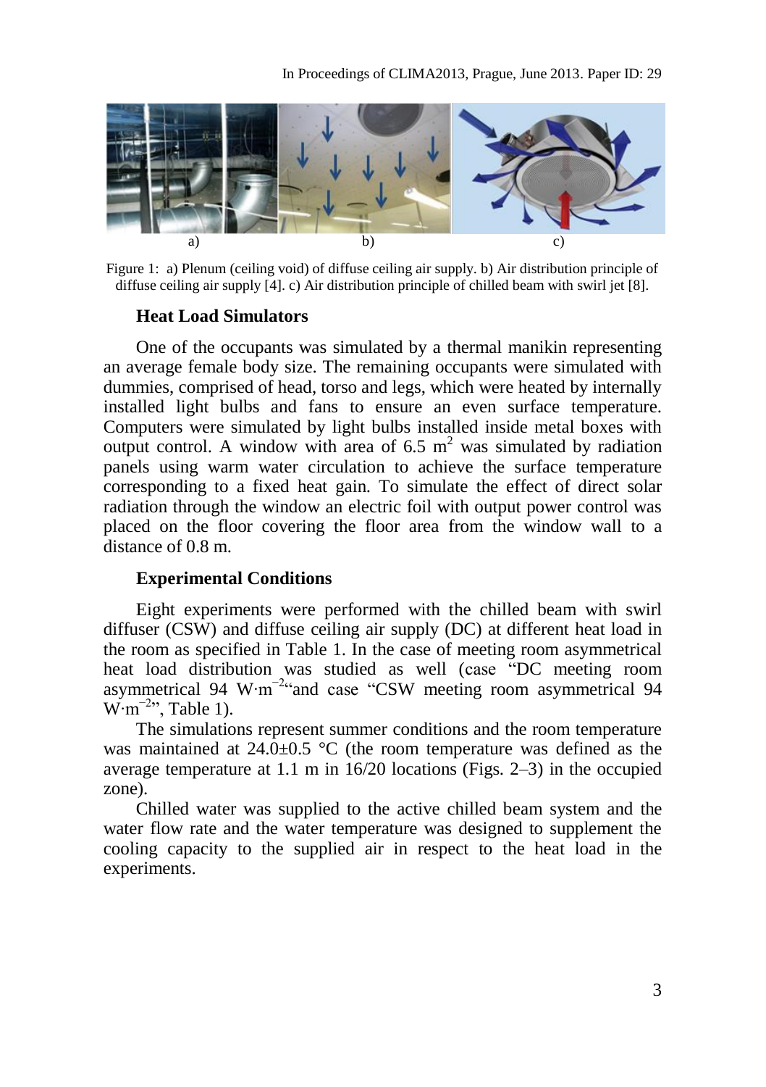

Figure 1: a) Plenum (ceiling void) of diffuse ceiling air supply. b) Air distribution principle of diffuse ceiling air supply [4]. c) Air distribution principle of chilled beam with swirl jet [8].

#### **Heat Load Simulators**

One of the occupants was simulated by a thermal manikin representing an average female body size. The remaining occupants were simulated with dummies, comprised of head, torso and legs, which were heated by internally installed light bulbs and fans to ensure an even surface temperature. Computers were simulated by light bulbs installed inside metal boxes with output control. A window with area of  $6.5 \text{ m}^2$  was simulated by radiation panels using warm water circulation to achieve the surface temperature corresponding to a fixed heat gain. To simulate the effect of direct solar radiation through the window an electric foil with output power control was placed on the floor covering the floor area from the window wall to a distance of 0.8 m.

### **Experimental Conditions**

Eight experiments were performed with the chilled beam with swirl diffuser (CSW) and diffuse ceiling air supply (DC) at different heat load in the room as specified in Table 1. In the case of meeting room asymmetrical heat load distribution was studied as well (case "DC meeting room asymmetrical 94 W∙m−2"and case "CSW meeting room asymmetrical 94  $W·m<sup>-2</sup>$ ". Table 1).

The simulations represent summer conditions and the room temperature was maintained at  $24.0 \pm 0.5$  °C (the room temperature was defined as the average temperature at 1.1 m in 16/20 locations (Figs. 2–3) in the occupied zone).

Chilled water was supplied to the active chilled beam system and the water flow rate and the water temperature was designed to supplement the cooling capacity to the supplied air in respect to the heat load in the experiments.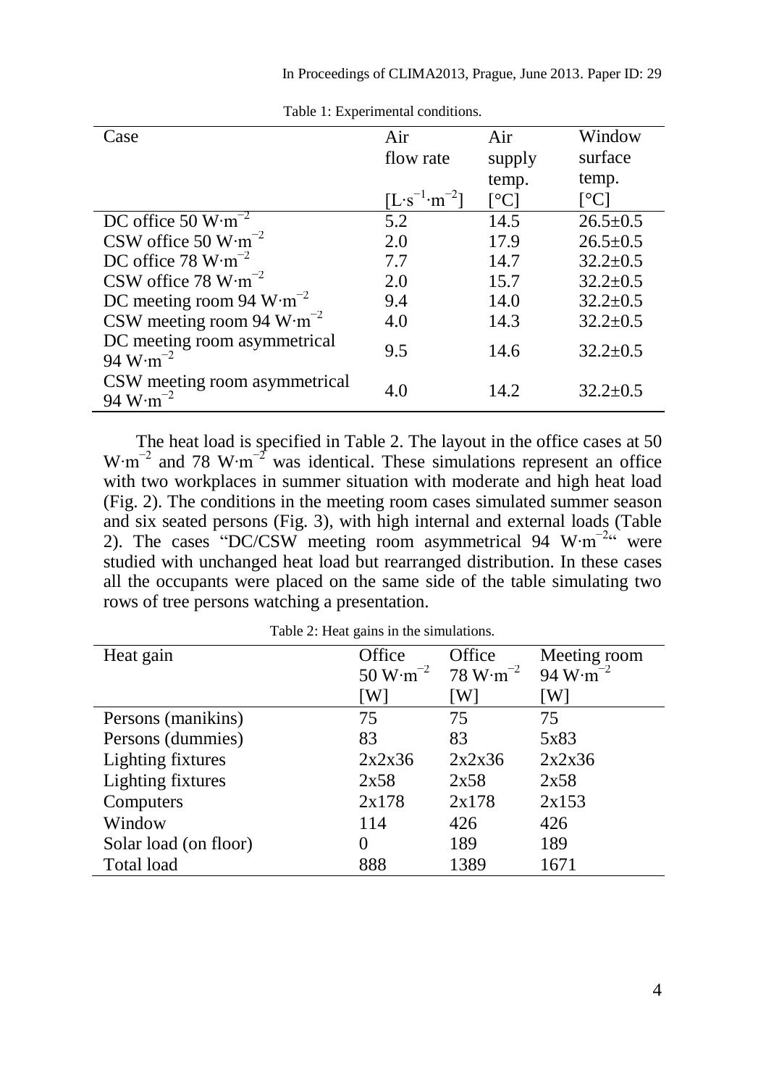| Case                                                         | Air                           | Air    | Window         |
|--------------------------------------------------------------|-------------------------------|--------|----------------|
|                                                              | flow rate                     | supply | surface        |
|                                                              |                               | temp.  | temp.          |
|                                                              | $[L\cdot s^{-1}\cdot m^{-2}]$ | [°C]   | r°Cl           |
| DC office 50 $W \cdot m^{-2}$                                | 5.2                           | 14.5   | $26.5 \pm 0.5$ |
| CSW office 50 $W \cdot m^{-2}$                               | 2.0                           | 17.9   | $26.5 \pm 0.5$ |
| DC office 78 $W·m^{-2}$                                      | 7.7                           | 14.7   | $32.2 \pm 0.5$ |
| CSW office 78 $W \cdot m^{-2}$                               | 2.0                           | 15.7   | $32.2 \pm 0.5$ |
| DC meeting room 94 $W \cdot m^{-2}$                          | 9.4                           | 14.0   | $32.2 \pm 0.5$ |
| CSW meeting room 94 W $\cdot$ m <sup>-2</sup>                | 4.0                           | 14.3   | $32.2 \pm 0.5$ |
| DC meeting room asymmetrical<br>94 W $\cdot$ m <sup>-2</sup> | 9.5                           | 14.6   | $32.2 \pm 0.5$ |
| CSW meeting room asymmetrical<br>94 $W·m^{-2}$               | 4.0                           | 14.2   | $32.2 \pm 0.5$ |

Table 1: Experimental conditions.

The heat load is specified in Table 2. The layout in the office cases at 50 W∙m−2 and 78 W∙m−2 was identical. These simulations represent an office with two workplaces in summer situation with moderate and high heat load (Fig. 2). The conditions in the meeting room cases simulated summer season and six seated persons (Fig. 3), with high internal and external loads (Table 2). The cases "DC/CSW meeting room asymmetrical 94 W⋅m<sup>-2α</sup> were studied with unchanged heat load but rearranged distribution. In these cases all the occupants were placed on the same side of the table simulating two rows of tree persons watching a presentation.

Table 2: Heat gains in the simulations.

| Heat gain             | Office        | Office     | Meeting room  |
|-----------------------|---------------|------------|---------------|
|                       | 50 $W·m^{-2}$ | $78 W·m-2$ | 94 $W·m^{-2}$ |
|                       | <b>IWI</b>    | [W]        | [W]           |
| Persons (manikins)    | 75            | 75         | 75            |
| Persons (dummies)     | 83            | 83         | 5x83          |
| Lighting fixtures     | 2x2x36        | 2x2x36     | 2x2x36        |
| Lighting fixtures     | 2x58          | 2x58       | 2x58          |
| Computers             | 2x178         | 2x178      | 2x153         |
| Window                | 114           | 426        | 426           |
| Solar load (on floor) | 0             | 189        | 189           |
| Total load            | 888           | 1389       | 1671          |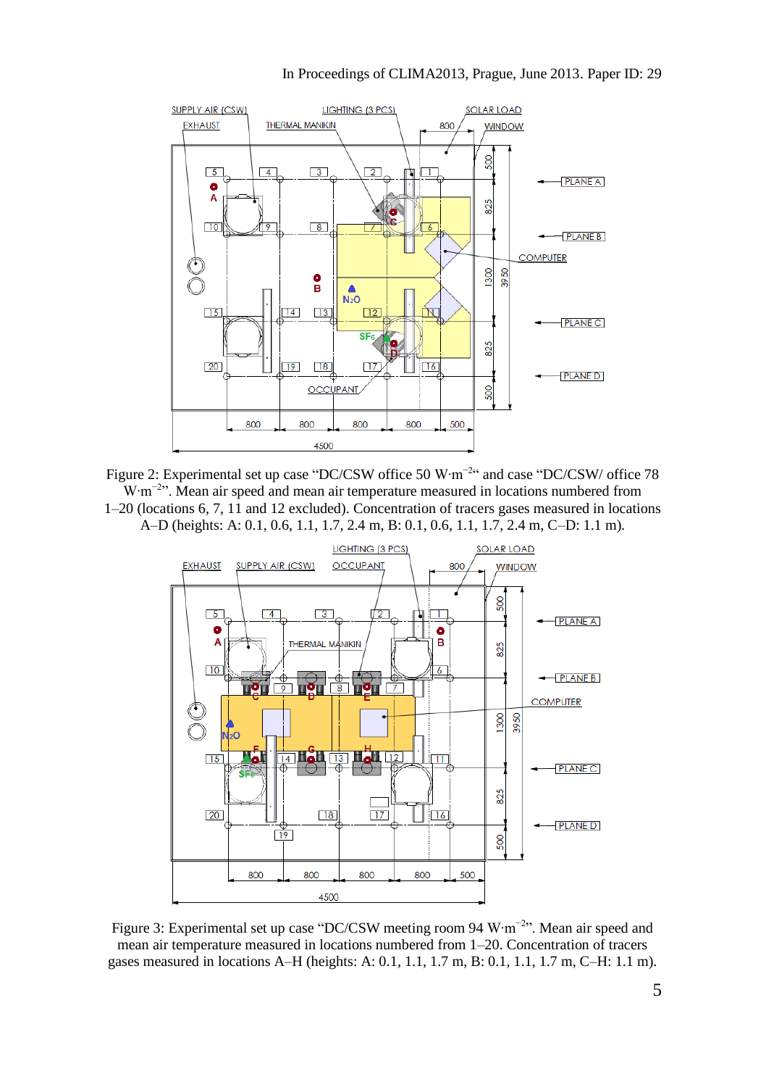





Figure 3: Experimental set up case "DC/CSW meeting room 94 W∙m−2". Mean air speed and mean air temperature measured in locations numbered from 1–20. Concentration of tracers gases measured in locations A–H (heights: A: 0.1, 1.1, 1.7 m, B: 0.1, 1.1, 1.7 m, C–H: 1.1 m).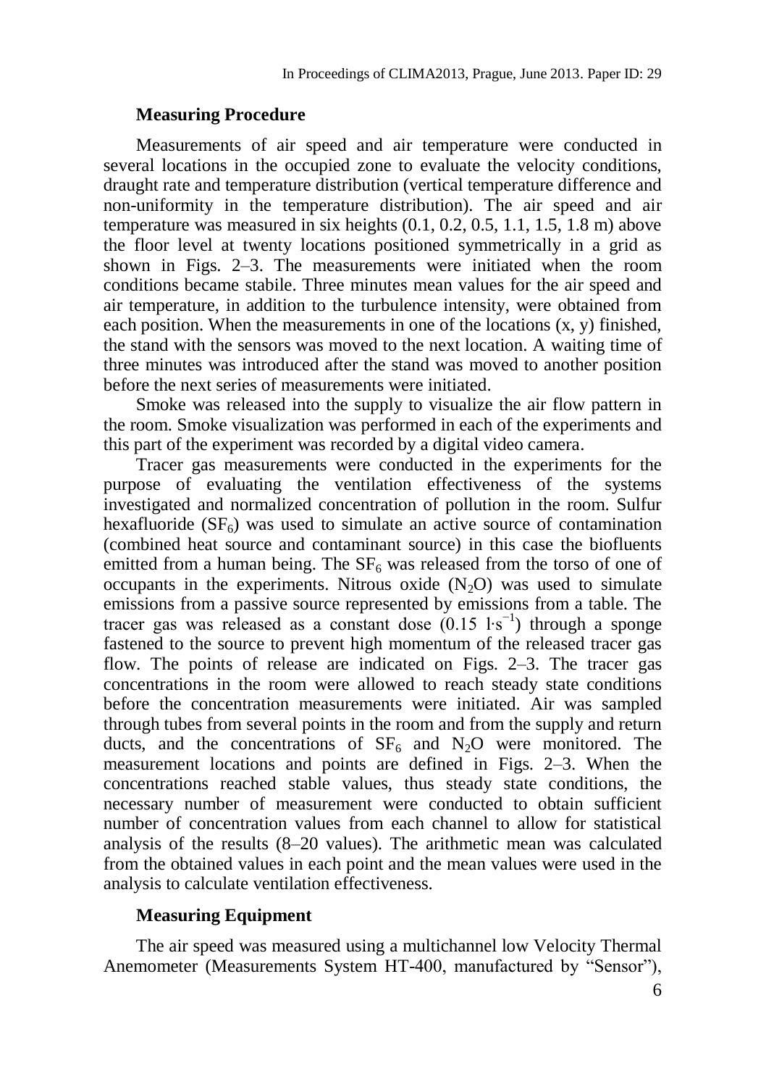## **Measuring Procedure**

Measurements of air speed and air temperature were conducted in several locations in the occupied zone to evaluate the velocity conditions, draught rate and temperature distribution (vertical temperature difference and non-uniformity in the temperature distribution). The air speed and air temperature was measured in six heights  $(0.1, 0.2, 0.5, 1.1, 1.5, 1.8 \text{ m})$  above the floor level at twenty locations positioned symmetrically in a grid as shown in Figs. 2–3. The measurements were initiated when the room conditions became stabile. Three minutes mean values for the air speed and air temperature, in addition to the turbulence intensity, were obtained from each position. When the measurements in one of the locations (x, y) finished, the stand with the sensors was moved to the next location. A waiting time of three minutes was introduced after the stand was moved to another position before the next series of measurements were initiated.

Smoke was released into the supply to visualize the air flow pattern in the room. Smoke visualization was performed in each of the experiments and this part of the experiment was recorded by a digital video camera.

Tracer gas measurements were conducted in the experiments for the purpose of evaluating the ventilation effectiveness of the systems investigated and normalized concentration of pollution in the room. Sulfur hexafluoride  $(SF_6)$  was used to simulate an active source of contamination (combined heat source and contaminant source) in this case the biofluents emitted from a human being. The  $SF_6$  was released from the torso of one of occupants in the experiments. Nitrous oxide  $(N_2O)$  was used to simulate emissions from a passive source represented by emissions from a table. The tracer gas was released as a constant dose  $(0.15 \text{ l·s}^{-1})$  through a sponge fastened to the source to prevent high momentum of the released tracer gas flow. The points of release are indicated on Figs. 2–3. The tracer gas concentrations in the room were allowed to reach steady state conditions before the concentration measurements were initiated. Air was sampled through tubes from several points in the room and from the supply and return ducts, and the concentrations of  $SF<sub>6</sub>$  and  $N<sub>2</sub>O$  were monitored. The measurement locations and points are defined in Figs. 2–3. When the concentrations reached stable values, thus steady state conditions, the necessary number of measurement were conducted to obtain sufficient number of concentration values from each channel to allow for statistical analysis of the results (8–20 values). The arithmetic mean was calculated from the obtained values in each point and the mean values were used in the analysis to calculate ventilation effectiveness.

## **Measuring Equipment**

The air speed was measured using a multichannel low Velocity Thermal Anemometer (Measurements System HT-400, manufactured by "Sensor"),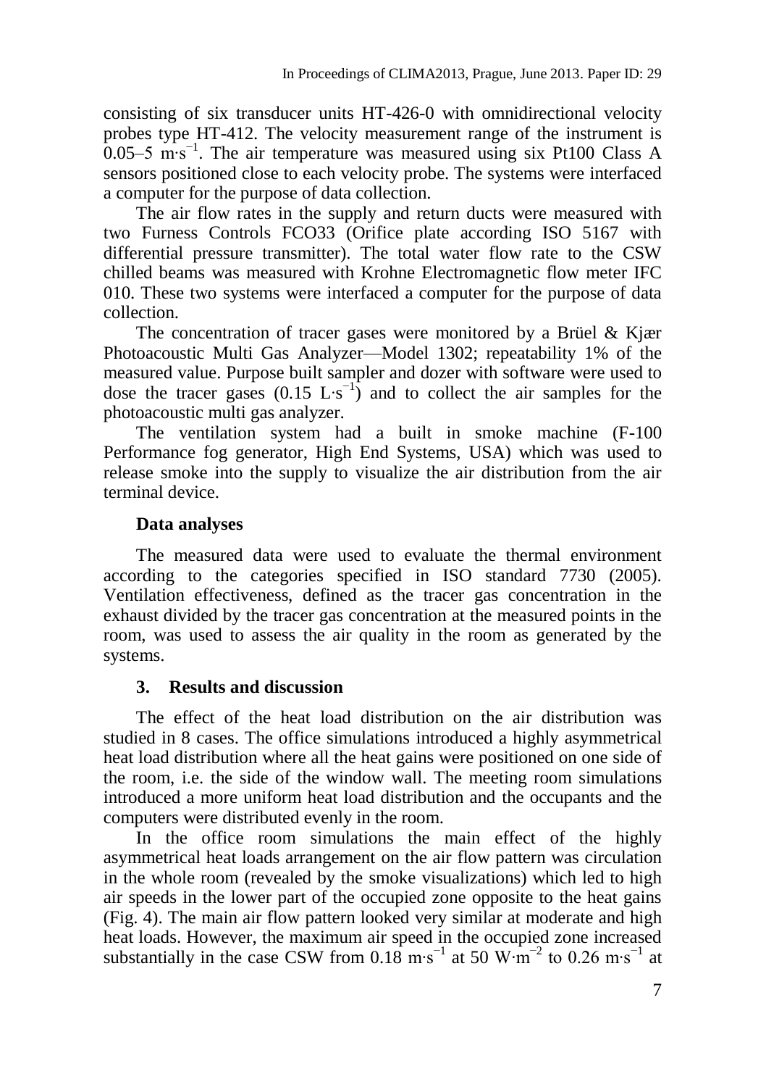consisting of six transducer units HT-426-0 with omnidirectional velocity probes type HT-412. The velocity measurement range of the instrument is 0.05–5 m∙s−1 . The air temperature was measured using six Pt100 Class A sensors positioned close to each velocity probe. The systems were interfaced a computer for the purpose of data collection.

The air flow rates in the supply and return ducts were measured with two Furness Controls FCO33 (Orifice plate according ISO 5167 with differential pressure transmitter). The total water flow rate to the CSW chilled beams was measured with Krohne Electromagnetic flow meter IFC 010. These two systems were interfaced a computer for the purpose of data collection.

The concentration of tracer gases were monitored by a Brüel & Kjær Photoacoustic Multi Gas Analyzer—Model 1302; repeatability 1% of the measured value. Purpose built sampler and dozer with software were used to dose the tracer gases  $(0.15 \text{ L} \cdot \text{s}^{-1})$  and to collect the air samples for the photoacoustic multi gas analyzer.

The ventilation system had a built in smoke machine (F-100 Performance fog generator, High End Systems, USA) which was used to release smoke into the supply to visualize the air distribution from the air terminal device.

#### **Data analyses**

The measured data were used to evaluate the thermal environment according to the categories specified in ISO standard 7730 (2005). Ventilation effectiveness, defined as the tracer gas concentration in the exhaust divided by the tracer gas concentration at the measured points in the room, was used to assess the air quality in the room as generated by the systems.

### **3. Results and discussion**

The effect of the heat load distribution on the air distribution was studied in 8 cases. The office simulations introduced a highly asymmetrical heat load distribution where all the heat gains were positioned on one side of the room, i.e. the side of the window wall. The meeting room simulations introduced a more uniform heat load distribution and the occupants and the computers were distributed evenly in the room.

In the office room simulations the main effect of the highly asymmetrical heat loads arrangement on the air flow pattern was circulation in the whole room (revealed by the smoke visualizations) which led to high air speeds in the lower part of the occupied zone opposite to the heat gains (Fig. 4). The main air flow pattern looked very similar at moderate and high heat loads. However, the maximum air speed in the occupied zone increased substantially in the case CSW from  $0.18 \text{ m} \cdot \text{s}^{-1}$  at 50 W⋅m<sup>-2</sup> to  $0.26 \text{ m} \cdot \text{s}^{-1}$  at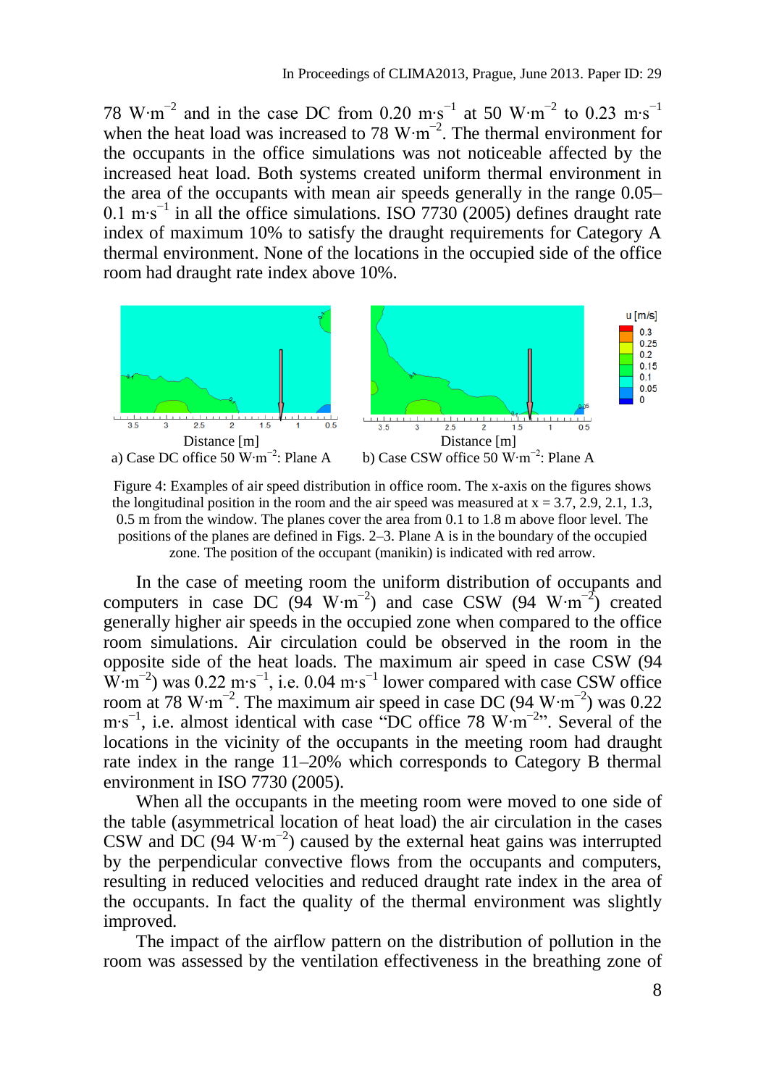78 W⋅m<sup>-2</sup> and in the case DC from 0.20 m⋅s<sup>-1</sup> at 50 W⋅m<sup>-2</sup> to 0.23 m⋅s<sup>-1</sup> when the heat load was increased to 78 W⋅m<sup>-2</sup>. The thermal environment for the occupants in the office simulations was not noticeable affected by the increased heat load. Both systems created uniform thermal environment in the area of the occupants with mean air speeds generally in the range 0.05– 0.1 m∙s−1 in all the office simulations. ISO 7730 (2005) defines draught rate index of maximum 10% to satisfy the draught requirements for Category A thermal environment. None of the locations in the occupied side of the office room had draught rate index above 10%.



Figure 4: Examples of air speed distribution in office room. The x-axis on the figures shows the longitudinal position in the room and the air speed was measured at  $x = 3.7, 2.9, 2.1, 1.3$ , 0.5 m from the window. The planes cover the area from 0.1 to 1.8 m above floor level. The positions of the planes are defined in Figs. 2–3. Plane A is in the boundary of the occupied zone. The position of the occupant (manikin) is indicated with red arrow.

In the case of meeting room the uniform distribution of occupants and computers in case DC (94 W⋅m<sup>-2</sup>) and case CSW (94 W⋅m<sup>-2</sup>)</sup> created generally higher air speeds in the occupied zone when compared to the office room simulations. Air circulation could be observed in the room in the opposite side of the heat loads. The maximum air speed in case CSW (94  $\text{W}\cdot\text{m}^{-2}$ ) was 0.22 m⋅s<sup>-1</sup>, i.e. 0.04 m⋅s<sup>-1</sup> lower compared with case CSW office room at 78 W⋅m<sup>-2</sup>. The maximum air speed in case DC (94 W⋅m<sup>-2</sup>)</sup> was 0.22 m⋅s<sup>-1</sup>, i.e. almost identical with case "DC office 78 W⋅m<sup>-2</sup>". Several of the locations in the vicinity of the occupants in the meeting room had draught rate index in the range 11–20% which corresponds to Category B thermal environment in ISO 7730 (2005).

When all the occupants in the meeting room were moved to one side of the table (asymmetrical location of heat load) the air circulation in the cases CSW and DC (94 W⋅m<sup>-2</sup>)</sub> caused by the external heat gains was interrupted by the perpendicular convective flows from the occupants and computers, resulting in reduced velocities and reduced draught rate index in the area of the occupants. In fact the quality of the thermal environment was slightly improved.

The impact of the airflow pattern on the distribution of pollution in the room was assessed by the ventilation effectiveness in the breathing zone of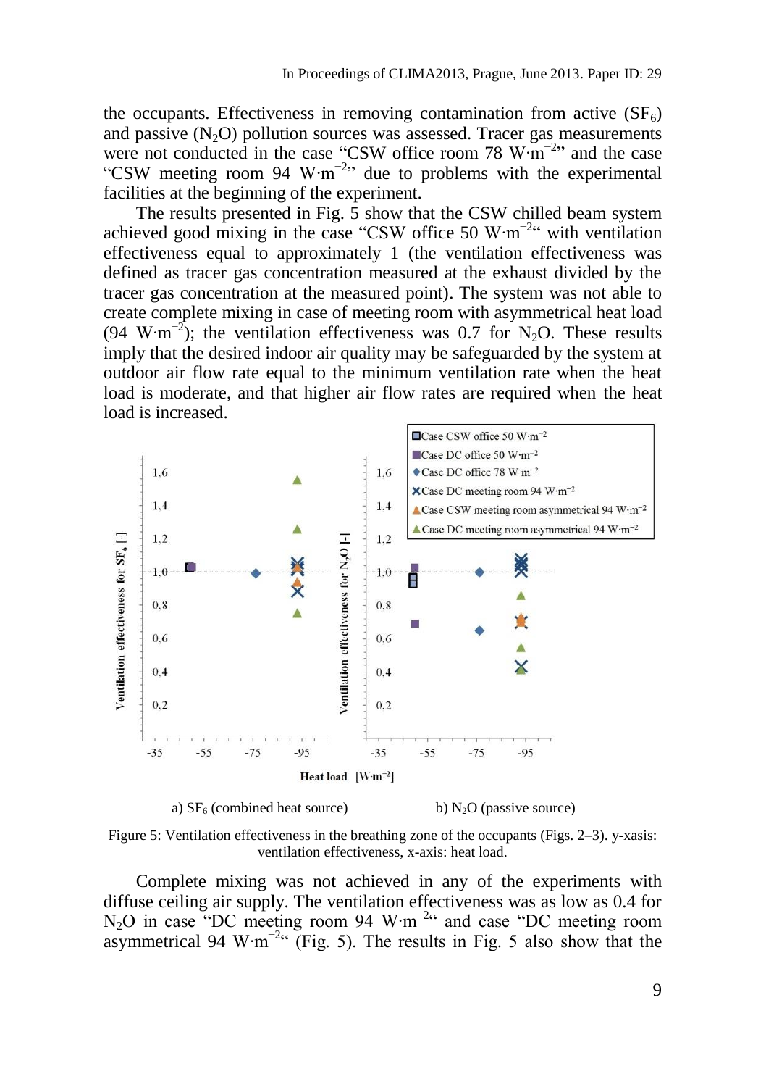the occupants. Effectiveness in removing contamination from active  $(SF_6)$ and passive  $(N_2O)$  pollution sources was assessed. Tracer gas measurements were not conducted in the case "CSW office room 78 W⋅m<sup>-2</sup>" and the case "CSW meeting room 94 W∙m−2 " due to problems with the experimental facilities at the beginning of the experiment.

The results presented in Fig. 5 show that the CSW chilled beam system achieved good mixing in the case "CSW office 50 W⋅m<sup>-2</sup>" with ventilation effectiveness equal to approximately 1 (the ventilation effectiveness was defined as tracer gas concentration measured at the exhaust divided by the tracer gas concentration at the measured point). The system was not able to create complete mixing in case of meeting room with asymmetrical heat load (94 W⋅m<sup>-2</sup>); the ventilation effectiveness was 0.7 for N<sub>2</sub>O. These results imply that the desired indoor air quality may be safeguarded by the system at outdoor air flow rate equal to the minimum ventilation rate when the heat load is moderate, and that higher air flow rates are required when the heat load is increased.



Figure 5: Ventilation effectiveness in the breathing zone of the occupants (Figs. 2–3). y-xasis: ventilation effectiveness, x-axis: heat load.

Complete mixing was not achieved in any of the experiments with diffuse ceiling air supply. The ventilation effectiveness was as low as 0.4 for N<sub>2</sub>O in case "DC meeting room 94 W⋅m<sup>-2</sup>" and case "DC meeting room asymmetrical 94 W⋅m<sup>-2</sup>" (Fig. 5). The results in Fig. 5 also show that the